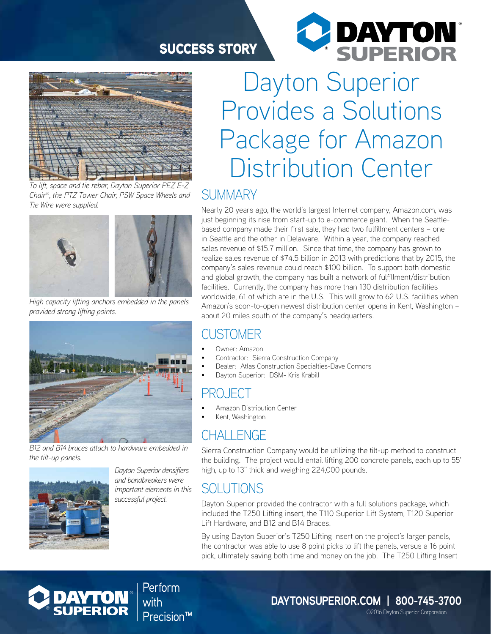#### SUCCESS STORY



*To lift, space and tie rebar, Dayton Superior PEZ E-Z Chair®, the PTZ Tower Chair, PSW Space Wheels and Tie Wire were supplied.*



*High capacity lifting anchors embedded in the panels provided strong lifting points.*



*B12 and B14 braces attach to hardware embedded in the tilt-up panels.*



*Dayton Superior densifiers and bondbreakers were important elements in this successful project.*

Dayton Superior Provides a Solutions Package for Amazon Distribution Center

**C DAYTON** 

#### SUMMARY

Nearly 20 years ago, the world's largest Internet company, Amazon.com, was just beginning its rise from start-up to e-commerce giant. When the Seattlebased company made their first sale, they had two fulfillment centers – one in Seattle and the other in Delaware. Within a year, the company reached sales revenue of \$15.7 million. Since that time, the company has grown to realize sales revenue of \$74.5 billion in 2013 with predictions that by 2015, the company's sales revenue could reach \$100 billion. To support both domestic and global growth, the company has built a network of fulfillment/distribution facilities. Currently, the company has more than 130 distribution facilities worldwide, 61 of which are in the U.S. This will grow to 62 U.S. facilities when Amazon's soon-to-open newest distribution center opens in Kent, Washington – about 20 miles south of the company's headquarters.

#### CUSTOMER

- Owner: Amazon
- Contractor: Sierra Construction Company
- Dealer: Atlas Construction Specialties-Dave Connors
- Dayton Superior: DSM- Kris Krabill

# PROJECT

- Amazon Distribution Center
- Kent, Washington

# CHALL ENGE

Sierra Construction Company would be utilizing the tilt-up method to construct the building. The project would entail lifting 200 concrete panels, each up to 55' high, up to 13" thick and weighing 224,000 pounds.

# SOLUTIONS

Dayton Superior provided the contractor with a full solutions package, which included the T250 Lifting insert, the T110 Superior Lift System, T120 Superior Lift Hardware, and B12 and B14 Braces.

By using Dayton Superior's T250 Lifting Insert on the project's larger panels, the contractor was able to use 8 point picks to lift the panels, versus a 16 point pick, ultimately saving both time and money on the job. The T250 Lifting Insert



Perform with Precision™

**DAYTONSUPERIOR.COM | 800-745-3700** ©2016 Dayton Superior Corporation